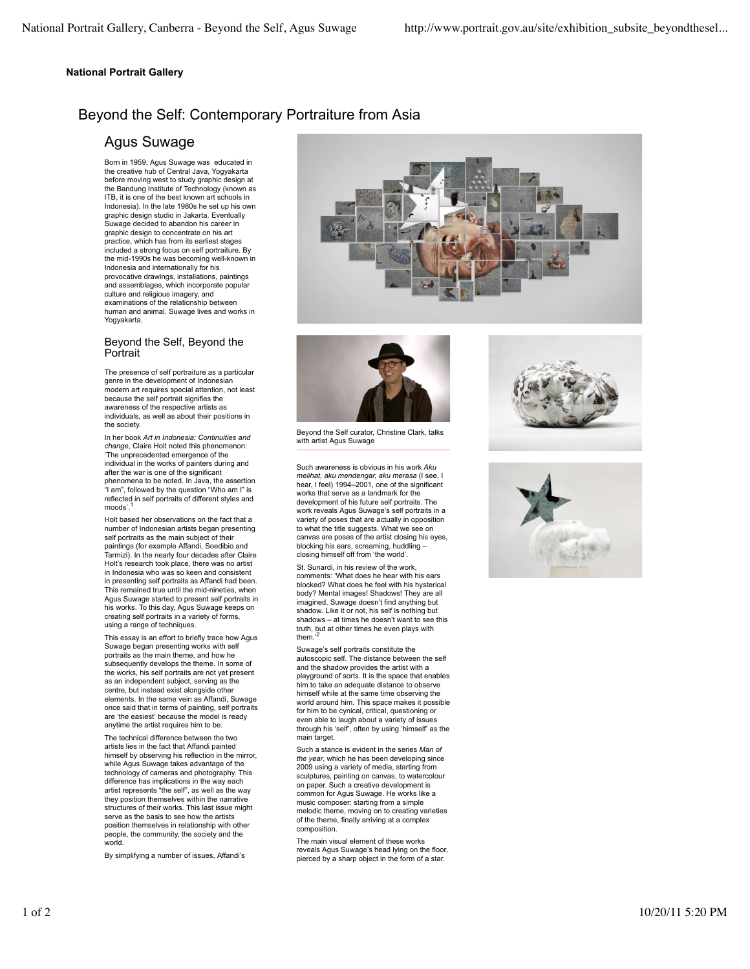### **National Portrait Gallery**

# Beyond the Self: Contemporary Portraiture from Asia

## Agus Suwage

Born in 1959, Agus Suwage was educated in the creative hub of Central Java, Yogyakarta before moving west to study graphic design at the Bandung Institute of Technology (known as ITB, it is one of the best known art schools in Indonesia). In the late 1980s he set up his own graphic design studio in Jakarta. Eventually Suwage decided to abandon his career in graphic design to concentrate on his art practice, which has from its earliest stages included a strong focus on self portraiture. By the mid-1990s he was becoming well-known in Indonesia and internationally for his provocative drawings, installations, paintings and assemblages, which incorporate popular culture and religious imagery, and examinations of the relationship between human and animal. Suwage lives and works in Yogyakarta.

### Beyond the Self, Beyond the **Portrait**

The presence of self portraiture as a particular genre in the development of Indonesian modern art requires special attention, not least because the self portrait signifies the awareness of the respective artists as individuals, as well as about their positions in the society.

In her book *Art in Indonesia: Continuities and change*, Claire Holt noted this phenomenon: 'The unprecedented emergence of the individual in the works of painters during and after the war is one of the significant phenomena to be noted. In Java, the assertion "I am", followed by the question "Who am I" is reflected in self portraits of different styles and moods'.

Holt based her observations on the fact that a number of Indonesian artists began presenting self portraits as the main subject of their paintings (for example Affandi, Soedibio and Tarmizi). In the nearly four decades after Claire Holt's research took place, there was no artist in Indonesia who was so keen and consistent in presenting self portraits as Affandi had been. This remained true until the mid-nineties, when Agus Suwage started to present self portraits in his works. To this day, Agus Suwage keeps on creating self portraits in a variety of forms, using a range of techniques.

This essay is an effort to briefly trace how Agus Suwage began presenting works with self portraits as the main theme, and how he subsequently develops the theme. In some of the works, his self portraits are not yet present as an independent subject, serving as the centre, but instead exist alongside other elements. In the same vein as Affandi, Suwage once said that in terms of painting, self portraits are 'the easiest' because the model is ready anytime the artist requires him to be.

The technical difference between the two artists lies in the fact that Affandi painted himself by observing his reflection in the mirror, while Agus Suwage takes advantage of the technology of cameras and photography. This difference has implications in the way each artist represents "the self", as well as the way they position themselves within the narrative structures of their works. This last issue might serve as the basis to see how the artists position themselves in relationship with other people, the community, the society and the world.

By simplifying a number of issues, Affandi's





Beyond the Self curator, Christine Clark, talks with artist Agus Suwage

Such awareness is obvious in his work *Aku melihat, aku mendengar, aku merasa* (I see, I hear, I feel) 1994–2001, one of the significant works that serve as a landmark for the development of his future self portraits. The work reveals Agus Suwage's self portraits in a variety of poses that are actually in opposition to what the title suggests. What we see on canvas are poses of the artist closing his eyes, blocking his ears, screaming, huddling – closing himself off from 'the world'.

St. Sunardi, in his review of the work, comments: 'What does he hear with his ears blocked? What does he feel with his hysterical body? Mental images! Shadows! They are all imagined. Suwage doesn't find anything but shadow. Like it or not, his self is nothing but shadows – at times he doesn't want to see this truth, but at other times he even plays with<br>them.'<sup>2</sup>

Suwage's self portraits constitute the autoscopic self. The distance between the self and the shadow provides the artist with a playground of sorts. It is the space that enables him to take an adequate distance to observe himself while at the same time observing the world around him. This space makes it possible for him to be cynical, critical, questioning or even able to laugh about a variety of issues through his 'self', often by using 'himself' as the main target.

Such a stance is evident in the series *Man of the year*, which he has been developing since 2009 using a variety of media, starting from sculptures, painting on canvas, to watercolour on paper. Such a creative development is common for Agus Suwage. He works like a music composer: starting from a simple melodic theme, moving on to creating varieties of the theme, finally arriving at a complex composition.

The main visual element of these works reveals Agus Suwage's head lying on the floor, pierced by a sharp object in the form of a star.